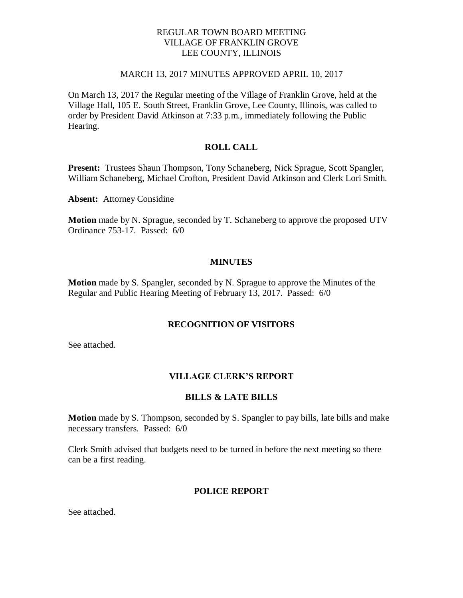## REGULAR TOWN BOARD MEETING VILLAGE OF FRANKLIN GROVE LEE COUNTY, ILLINOIS

#### MARCH 13, 2017 MINUTES APPROVED APRIL 10, 2017

On March 13, 2017 the Regular meeting of the Village of Franklin Grove, held at the Village Hall, 105 E. South Street, Franklin Grove, Lee County, Illinois, was called to order by President David Atkinson at 7:33 p.m., immediately following the Public Hearing.

## **ROLL CALL**

**Present:** Trustees Shaun Thompson, Tony Schaneberg, Nick Sprague, Scott Spangler, William Schaneberg, Michael Crofton, President David Atkinson and Clerk Lori Smith.

**Absent:** Attorney Considine

**Motion** made by N. Sprague, seconded by T. Schaneberg to approve the proposed UTV Ordinance 753-17. Passed: 6/0

#### **MINUTES**

**Motion** made by S. Spangler, seconded by N. Sprague to approve the Minutes of the Regular and Public Hearing Meeting of February 13, 2017. Passed: 6/0

#### **RECOGNITION OF VISITORS**

See attached.

#### **VILLAGE CLERK'S REPORT**

#### **BILLS & LATE BILLS**

**Motion** made by S. Thompson, seconded by S. Spangler to pay bills, late bills and make necessary transfers. Passed: 6/0

Clerk Smith advised that budgets need to be turned in before the next meeting so there can be a first reading.

#### **POLICE REPORT**

See attached.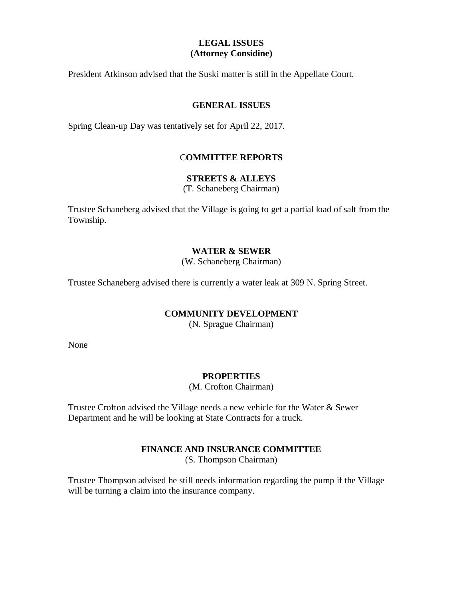# **LEGAL ISSUES (Attorney Considine)**

President Atkinson advised that the Suski matter is still in the Appellate Court.

### **GENERAL ISSUES**

Spring Clean-up Day was tentatively set for April 22, 2017.

## C**OMMITTEE REPORTS**

## **STREETS & ALLEYS**

(T. Schaneberg Chairman)

Trustee Schaneberg advised that the Village is going to get a partial load of salt from the Township.

# **WATER & SEWER**

(W. Schaneberg Chairman)

Trustee Schaneberg advised there is currently a water leak at 309 N. Spring Street.

## **COMMUNITY DEVELOPMENT**

(N. Sprague Chairman)

None

## **PROPERTIES**

(M. Crofton Chairman)

Trustee Crofton advised the Village needs a new vehicle for the Water & Sewer Department and he will be looking at State Contracts for a truck.

## **FINANCE AND INSURANCE COMMITTEE**

(S. Thompson Chairman)

Trustee Thompson advised he still needs information regarding the pump if the Village will be turning a claim into the insurance company.